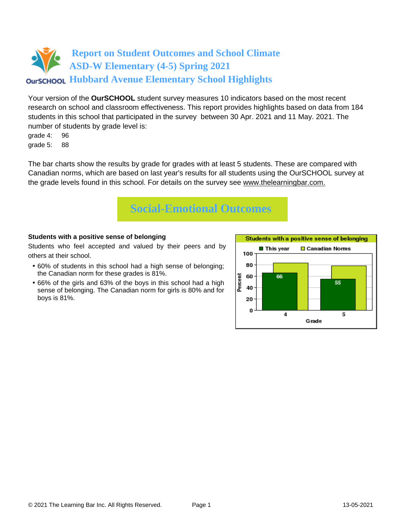# **Report on Student Outcomes and School Climate ASD-W Elementary (4-5) Spring 2021 OUTSCHOOL Hubbard Avenue Elementary School Highlights**

Your version of the **OurSCHOOL** student survey measures 10 indicators based on the most recent research on school and classroom effectiveness. This report provides highlights based on data from 184 students in this school that participated in the survey between 30 Apr. 2021 and 11 May. 2021. The number of students by grade level is:

grade 4: 96

grade 5: 88

The bar charts show the results by grade for grades with at least 5 students. These are compared with Canadian norms, which are based on last year's results for all students using the OurSCHOOL survey at the grade levels found in this school. For details on the survey see [www.thelearningbar.com.](www.thelearningbar.com)



## **Students with a positive sense of belonging**

Students who feel accepted and valued by their peers and by others at their school.

- 60% of students in this school had a high sense of belonging; the Canadian norm for these grades is 81%.
- 66% of the girls and 63% of the boys in this school had a high sense of belonging. The Canadian norm for girls is 80% and for boys is 81%.

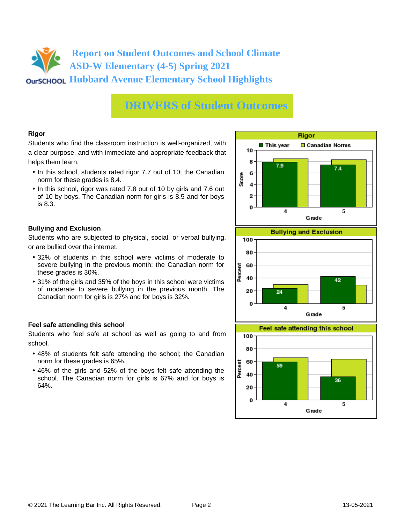# **Report on Student Outcomes and School Climate ASD-W Elementary (4-5) Spring 2021 OUTSCHOOL Hubbard Avenue Elementary School Highlights**

# **DRIVERS of Student Outcomes**

### **Rigor**

Students who find the classroom instruction is well-organized, with a clear purpose, and with immediate and appropriate feedback that helps them learn.

- In this school, students rated rigor 7.7 out of 10; the Canadian norm for these grades is 8.4.
- In this school, rigor was rated 7.8 out of 10 by girls and 7.6 out of 10 by boys. The Canadian norm for girls is 8.5 and for boys is 8.3.

### **Bullying and Exclusion**

Students who are subjected to physical, social, or verbal bullying, or are bullied over the internet.

- 32% of students in this school were victims of moderate to severe bullying in the previous month; the Canadian norm for these grades is 30%.
- 31% of the girls and 35% of the boys in this school were victims of moderate to severe bullying in the previous month. The Canadian norm for girls is 27% and for boys is 32%.

### **Feel safe attending this school**

Students who feel safe at school as well as going to and from school.

- 48% of students felt safe attending the school; the Canadian norm for these grades is 65%.
- 46% of the girls and 52% of the boys felt safe attending the school. The Canadian norm for girls is 67% and for boys is 64%.





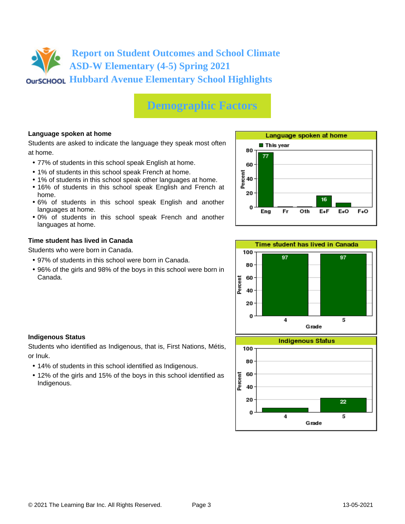# **Report on Student Outcomes and School Climate ASD-W Elementary (4-5) Spring 2021 OUTSCHOOL Hubbard Avenue Elementary School Highlights**

# **Demographic Factors**

## **Language spoken at home**

Students are asked to indicate the language they speak most often at home.

- 77% of students in this school speak English at home.
- 1% of students in this school speak French at home.
- 1% of students in this school speak other languages at home.
- 16% of students in this school speak English and French at home.
- 6% of students in this school speak English and another languages at home.
- 0% of students in this school speak French and another languages at home.

#### **Time student has lived in Canada**

Students who were born in Canada.

- 97% of students in this school were born in Canada.
- 96% of the girls and 98% of the boys in this school were born in Canada.





### **Indigenous Status**

Students who identified as Indigenous, that is, First Nations, Métis, or Inuk.

- 14% of students in this school identified as Indigenous.
- 12% of the girls and 15% of the boys in this school identified as Indigenous.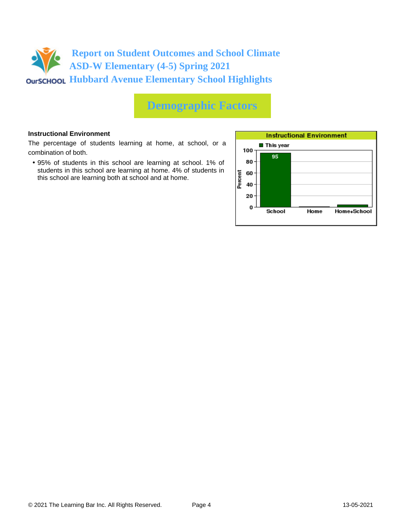

# **Demographic Factors**

#### **Instructional Environment**

The percentage of students learning at home, at school, or a combination of both.

• 95% of students in this school are learning at school. 1% of students in this school are learning at home. 4% of students in this school are learning both at school and at home.

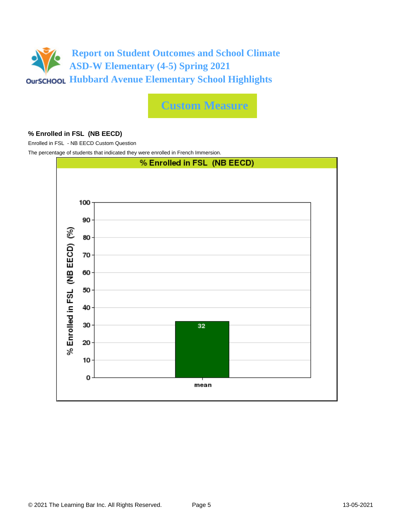

**Custom Measure**

#### **% Enrolled in FSL (NB EECD)**

Enrolled in FSL - NB EECD Custom Question

The percentage of students that indicated they were enrolled in French Immersion.

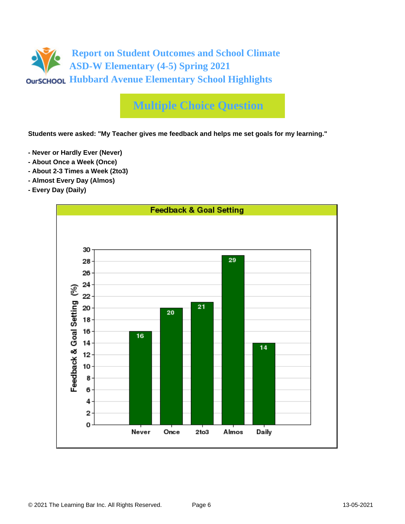

# **Multiple Choice Question**

**Students were asked: "My Teacher gives me feedback and helps me set goals for my learning."**

- **Never or Hardly Ever (Never)**
- **About Once a Week (Once)**
- **About 2-3 Times a Week (2to3)**
- **Almost Every Day (Almos)**
- **Every Day (Daily)**

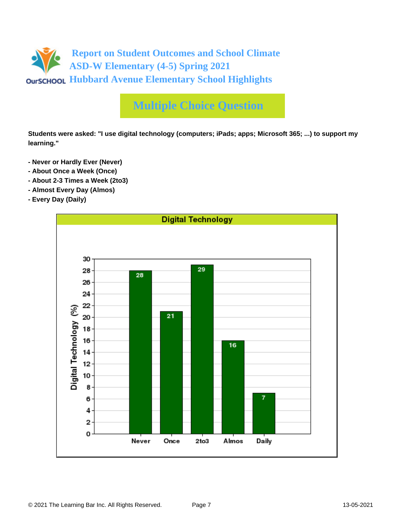

# **Multiple Choice Question**

**Students were asked: "I use digital technology (computers; iPads; apps; Microsoft 365; ...) to support my learning."**

- **Never or Hardly Ever (Never)**
- **About Once a Week (Once)**
- **About 2-3 Times a Week (2to3)**
- **Almost Every Day (Almos)**
- **Every Day (Daily)**